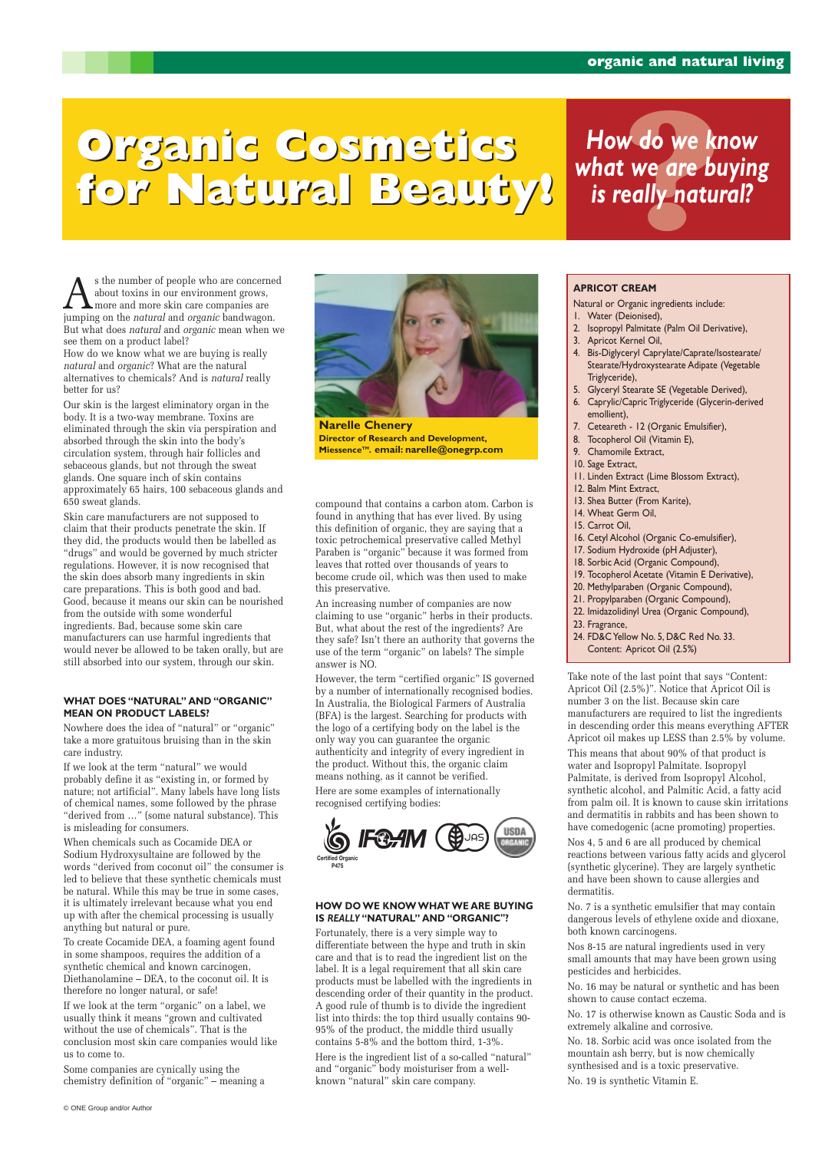As the number of people who are concerned<br>about toxins in our environment grows,<br>iumning on the *natural* and *organic* bandwagon about toxins in our environment grows, more and more skin care companies are jumping on the *natural* and *organic* bandwagon. But what does *natural* and *organic* mean when we see them on a product label?

How do we know what we are buying is really *natural* and *organic*? What are the natural alternatives to chemicals? And is *natural* really better for us?

Our skin is the largest eliminatory organ in the body. It is a two-way membrane. Toxins are eliminated through the skin via perspiration and absorbed through the skin into the body's circulation system, through hair follicles and sebaceous glands, but not through the sweat glands. One square inch of skin contains approximately 65 hairs, 100 sebaceous glands and 650 sweat glands.

Skin care manufacturers are not supposed to claim that their products penetrate the skin. If they did, the products would then be labelled as "drugs" and would be governed by much stricter regulations. However, it is now recognised that the skin does absorb many ingredients in skin care preparations. This is both good and bad. Good, because it means our skin can be nourished from the outside with some wonderful ingredients. Bad, because some skin care manufacturers can use harmful ingredients that would never be allowed to be taken orally, but are still absorbed into our system, through our skin.

### **WHAT DOES "NATURAL" AND "ORGANIC" MEAN ON PRODUCT LABELS?**

Nowhere does the idea of "natural" or "organic" take a more gratuitous bruising than in the skin care industry.

If we look at the term "natural" we would probably define it as "existing in, or formed by nature; not artificial". Many labels have long lists of chemical names, some followed by the phrase "derived from …" (some natural substance). This is misleading for consumers.

When chemicals such as Cocamide DEA or Sodium Hydroxysultaine are followed by the words "derived from coconut oil" the consumer is led to believe that these synthetic chemicals must be natural. While this may be true in some cases, it is ultimately irrelevant because what you end up with after the chemical processing is usually anything but natural or pure. To create Cocamide DEA, a foaming agent found in some shampoos, requires the addition of a synthetic chemical and known carcinogen, Diethanolamine – DEA, to the coconut oil. It is therefore no longer natural, or safe! If we look at the term "organic" on a label, we usually think it means "grown and cultivated without the use of chemicals". That is the conclusion most skin care companies would like us to come to.

Some companies are cynically using the chemistry definition of "organic" – meaning a

compound that contains a carbon atom. Carbon is found in anything that has ever lived. By using this definition of organic, they are saying that a toxic petrochemical preservative called Methyl Paraben is "organic" because it was formed from leaves that rotted over thousands of years to become crude oil, which was then used to make this preservative.

An increasing number of companies are now claiming to use "organic" herbs in their products. But, what about the rest of the ingredients? Are they safe? Isn't there an authority that governs the use of the term "organic" on labels? The simple answer is NO.

However, the term "certified organic" IS governed by a number of internationally recognised bodies. In Australia, the Biological Farmers of Australia (BFA) is the largest. Searching for products with the logo of a certifying body on the label is the only way you can guarantee the organic authenticity and integrity of every ingredient in the product. Without this, the organic claim means nothing, as it cannot be verified.

Here are some examples of internationally recognised certifying bodies:

#### **HOW DO WE KNOW WHAT WE ARE BUYING IS** *REALLY* **"NATURAL" AND "ORGANIC"?**

Fortunately, there is a very simple way to differentiate between the hype and truth in skin care and that is to read the ingredient list on the label. It is a legal requirement that all skin care products must be labelled with the ingredients in descending order of their quantity in the product. A good rule of thumb is to divide the ingredient list into thirds: the top third usually contains 90- 95% of the product, the middle third usually contains 5-8% and the bottom third, 1-3%.

Here is the ingredient list of a so-called "natural" and "organic" body moisturiser from a wellknown "natural" skin care company.

### **APRICOT CREAM**

Natural or Organic ingredients include:

- 1. Water (Deionised),
- 2. Isopropyl Palmitate (Palm Oil Derivative),
- 3. Apricot Kernel Oil,
- 4. Bis-Diglyceryl Caprylate/Caprate/Isostearate/ Stearate/Hydroxystearate Adipate (Vegetable Triglyceride),
- 5. Glyceryl Stearate SE (Vegetable Derived),
- 6. Caprylic/Capric Triglyceride (Glycerin-derived emollient),
- 7. Ceteareth 12 (Organic Emulsifier),
- 8. Tocopherol Oil (Vitamin E),
- 9. Chamomile Extract,
- 10. Sage Extract,
- 11. Linden Extract (Lime Blossom Extract),
- 12. Balm Mint Extract,
- 13. Shea Butter (From Karite),
- 14. Wheat Germ Oil,
- 15. Carrot Oil,
- 16. Cetyl Alcohol (Organic Co-emulsifier),
- 17. Sodium Hydroxide (pH Adjuster),
- 18. Sorbic Acid (Organic Compound),
- 19. Tocopherol Acetate (Vitamin E Derivative),
- 20. Methylparaben (Organic Compound),
- 21. Propylparaben (Organic Compound),
- 22. Imidazolidinyl Urea (Organic Compound),
- 23. Fragrance,
- 24. FD&C Yellow No. 5, D&C Red No. 33.
- Content: Apricot Oil (2.5%)

Take note of the last point that says "Content: Apricot Oil (2.5%)". Notice that Apricot Oil is number 3 on the list. Because skin care manufacturers are required to list the ingredients in descending order this means everything AFTER Apricot oil makes up LESS than 2.5% by volume.

This means that about 90% of that product is water and Isopropyl Palmitate. Isopropyl Palmitate, is derived from Isopropyl Alcohol, synthetic alcohol, and Palmitic Acid, a fatty acid from palm oil. It is known to cause skin irritations and dermatitis in rabbits and has been shown to have comedogenic (acne promoting) properties.

Nos 4, 5 and 6 are all produced by chemical reactions between various fatty acids and glycerol (synthetic glycerine). They are largely synthetic and have been shown to cause allergies and dermatitis.

No. 7 is a synthetic emulsifier that may contain dangerous levels of ethylene oxide and dioxane, both known carcinogens.

Nos 8-15 are natural ingredients used in very small amounts that may have been grown using pesticides and herbicides.

No. 16 may be natural or synthetic and has been shown to cause contact eczema.

No. 17 is otherwise known as Caustic Soda and is extremely alkaline and corrosive.

No. 18. Sorbic acid was once isolated from the mountain ash berry, but is now chemically synthesised and is a toxic preservative. No. 19 is synthetic Vitamin E.

# **Organic Cosmetics Organic Cosmetics How do we k**<br>**for Natural Beauty!** is really natu **Organic Cosmetics for Natural Beauty!**

# *How do we know what we are buying is really natural?*



**Narelle Chenery Director of Research and Development, MiessenceTM. email: narelle@onegrp.com**



© ONE Group and/or Author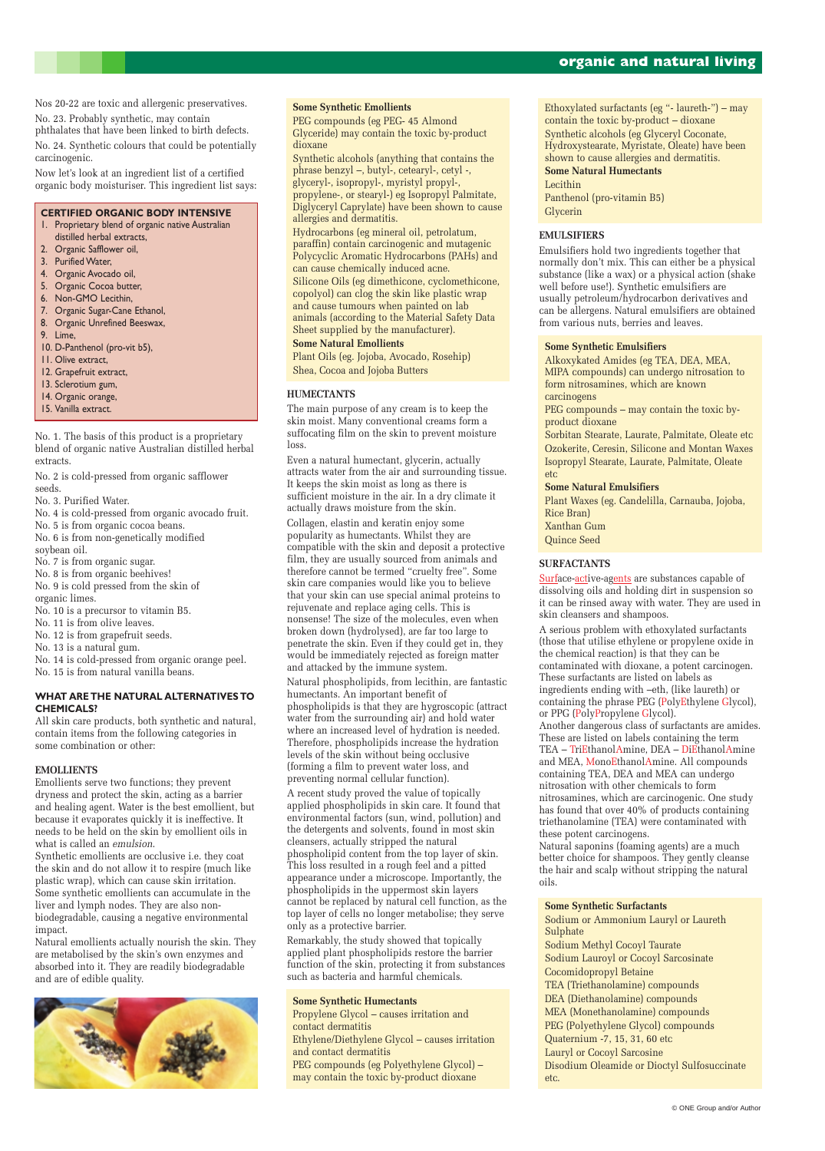# **organic and natural living**

Nos 20-22 are toxic and allergenic preservatives.

No. 23. Probably synthetic, may contain

phthalates that have been linked to birth defects. No. 24. Synthetic colours that could be potentially carcinogenic.

Now let's look at an ingredient list of a certified organic body moisturiser. This ingredient list says:

#### **CERTIFIED ORGANIC BODY INTENSIVE**

- 1. Proprietary blend of organic native Australian distilled herbal extracts,
- 2. Organic Safflower oil,
- 3. Purified Water,
- 4. Organic Avocado oil,
- 5. Organic Cocoa butter,
- 6. Non-GMO Lecithin,
- 7. Organic Sugar-Cane Ethanol,
- 8. Organic Unrefined Beeswax,
- 9. Lime,
- 10. D-Panthenol (pro-vit b5),
- 11. Olive extract,
- 12. Grapefruit extract,
- 13. Sclerotium gum,
- 14. Organic orange,
- 15. Vanilla extract.

No. 1. The basis of this product is a proprietary blend of organic native Australian distilled herbal extracts.

No. 2 is cold-pressed from organic safflower seeds.

No. 3. Purified Water.

- No. 4 is cold-pressed from organic avocado fruit.
- No. 5 is from organic cocoa beans.
- No. 6 is from non-genetically modified soybean oil.
- No. 7 is from organic sugar.
- No. 8 is from organic beehives!
- No. 9 is cold pressed from the skin of
- organic limes.
- No. 10 is a precursor to vitamin B5.
- No. 11 is from olive leaves.
- No. 12 is from grapefruit seeds.
- No. 13 is a natural gum.

No. 14 is cold-pressed from organic orange peel.

No. 15 is from natural vanilla beans.

### **WHAT ARE THE NATURAL ALTERNATIVES TO CHEMICALS?**

All skin care products, both synthetic and natural, contain items from the following categories in some combination or other:

# **EMOLLIENTS**

Emollients serve two functions; they prevent dryness and protect the skin, acting as a barrier and healing agent. Water is the best emollient, but because it evaporates quickly it is ineffective. It needs to be held on the skin by emollient oils in what is called an *emulsion*.

Synthetic emollients are occlusive i.e. they coat the skin and do not allow it to respire (much like plastic wrap), which can cause skin irritation. Some synthetic emollients can accumulate in the liver and lymph nodes. They are also nonbiodegradable, causing a negative environmental impact. Natural emollients actually nourish the skin. They are metabolised by the skin's own enzymes and absorbed into it. They are readily biodegradable and are of edible quality.

# **Some Synthetic Emollients**

PEG compounds (eg PEG- 45 Almond Glyceride) may contain the toxic by-product dioxane

Synthetic alcohols (anything that contains the phrase benzyl –, butyl-, cetearyl-, cetyl -, glyceryl-, isopropyl-, myristyl propyl-, propylene-, or stearyl-) eg Isopropyl Palmitate, Diglyceryl Caprylate) have been shown to cause allergies and dermatitis.

Hydrocarbons (eg mineral oil, petrolatum, paraffin) contain carcinogenic and mutagenic Polycyclic Aromatic Hydrocarbons (PAHs) and can cause chemically induced acne. Silicone Oils (eg dimethicone, cyclomethicone, copolyol) can clog the skin like plastic wrap and cause tumours when painted on lab animals (according to the Material Safety Data Sheet supplied by the manufacturer).

# **Some Natural Emollients**

Plant Oils (eg. Jojoba, Avocado, Rosehip) Shea, Cocoa and Jojoba Butters

# **HUMECTANTS**

The main purpose of any cream is to keep the skin moist. Many conventional creams form a suffocating film on the skin to prevent moisture loss.

> Surface-active-agents are substances capable of dissolving oils and holding dirt in suspension so it can be rinsed away with water. They are used in skin cleansers and shampoos.

Even a natural humectant, glycerin, actually attracts water from the air and surrounding tissue. It keeps the skin moist as long as there is sufficient moisture in the air. In a dry climate it actually draws moisture from the skin.

Collagen, elastin and keratin enjoy some popularity as humectants. Whilst they are compatible with the skin and deposit a protective film, they are usually sourced from animals and therefore cannot be termed "cruelty free". Some skin care companies would like you to believe that your skin can use special animal proteins to rejuvenate and replace aging cells. This is nonsense! The size of the molecules, even when broken down (hydrolysed), are far too large to penetrate the skin. Even if they could get in, they would be immediately rejected as foreign matter and attacked by the immune system. Natural phospholipids, from lecithin, are fantastic

humectants. An important benefit of phospholipids is that they are hygroscopic (attract water from the surrounding air) and hold water where an increased level of hydration is needed. Therefore, phospholipids increase the hydration levels of the skin without being occlusive (forming a film to prevent water loss, and preventing normal cellular function).

A recent study proved the value of topically applied phospholipids in skin care. It found that environmental factors (sun, wind, pollution) and the detergents and solvents, found in most skin cleansers, actually stripped the natural phospholipid content from the top layer of skin. This loss resulted in a rough feel and a pitted appearance under a microscope. Importantly, the phospholipids in the uppermost skin layers

cannot be replaced by natural cell function, as the top layer of cells no longer metabolise; they serve only as a protective barrier.

Remarkably, the study showed that topically applied plant phospholipids restore the barrier function of the skin, protecting it from substances such as bacteria and harmful chemicals.

**Some Synthetic Humectants**

Propylene Glycol – causes irritation and contact dermatitis

Ethylene/Diethylene Glycol – causes irritation and contact dermatitis

PEG compounds (eg Polyethylene Glycol) – may contain the toxic by-product dioxane

Ethoxylated surfactants (eg "- laureth-") – may contain the toxic by-product – dioxane Synthetic alcohols (eg Glyceryl Coconate, Hydroxystearate, Myristate, Oleate) have been shown to cause allergies and dermatitis. **Some Natural Humectants** Lecithin Panthenol (pro-vitamin B5) Glycerin

# **EMULSIFIERS**

Emulsifiers hold two ingredients together that normally don't mix. This can either be a physical substance (like a wax) or a physical action (shake well before use!). Synthetic emulsifiers are usually petroleum/hydrocarbon derivatives and can be allergens. Natural emulsifiers are obtained from various nuts, berries and leaves.

## **Some Synthetic Emulsifiers**

Alkoxykated Amides (eg TEA, DEA, MEA, MIPA compounds) can undergo nitrosation to form nitrosamines, which are known carcinogens

PEG compounds – may contain the toxic byproduct dioxane

Sorbitan Stearate, Laurate, Palmitate, Oleate etc Ozokerite, Ceresin, Silicone and Montan Waxes Isopropyl Stearate, Laurate, Palmitate, Oleate etc

# **Some Natural Emulsifiers**

Plant Waxes (eg. Candelilla, Carnauba, Jojoba, Rice Bran) Xanthan Gum

Quince Seed

# **SURFACTANTS**

A serious problem with ethoxylated surfactants (those that utilise ethylene or propylene oxide in the chemical reaction) is that they can be contaminated with dioxane, a potent carcinogen. These surfactants are listed on labels as ingredients ending with –eth, (like laureth) or containing the phrase PEG (PolyEthylene Glycol), or PPG (PolyPropylene Glycol). Another dangerous class of surfactants are amides. These are listed on labels containing the term TEA – TriEthanolAmine, DEA – DiEthanolAmine and MEA, MonoEthanolAmine. All compounds containing TEA, DEA and MEA can undergo nitrosation with other chemicals to form nitrosamines, which are carcinogenic. One study has found that over 40% of products containing triethanolamine (TEA) were contaminated with these potent carcinogens.

Natural saponins (foaming agents) are a much better choice for shampoos. They gently cleanse the hair and scalp without stripping the natural oils.



**Some Synthetic Surfactants** Sodium or Ammonium Lauryl or Laureth Sulphate Sodium Methyl Cocoyl Taurate Sodium Lauroyl or Cocoyl Sarcosinate Cocomidopropyl Betaine TEA (Triethanolamine) compounds

DEA (Diethanolamine) compounds MEA (Monethanolamine) compounds PEG (Polyethylene Glycol) compounds Quaternium -7, 15, 31, 60 etc Lauryl or Cocoyl Sarcosine Disodium Oleamide or Dioctyl Sulfosuccinate etc.

© ONE Group and/or Author